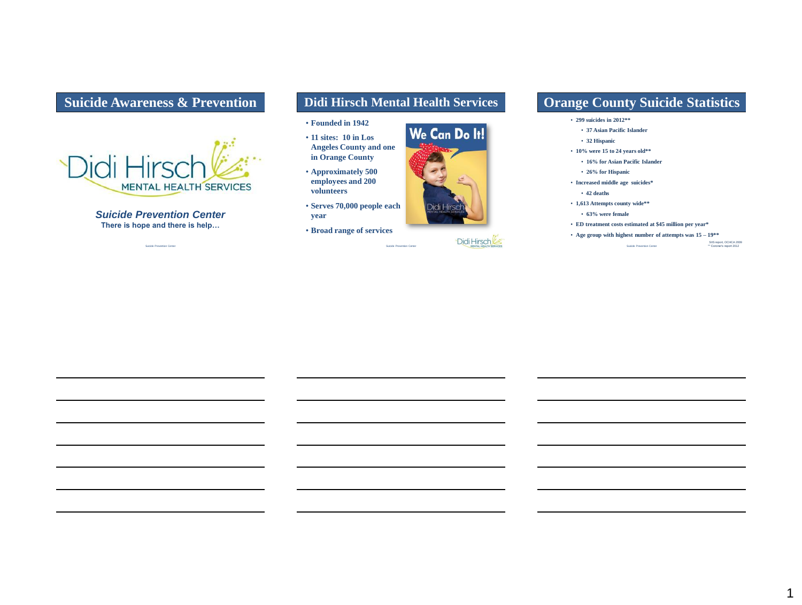# **Suicide Awareness & Prevention**



*Suicide Prevention Center* **There is hope and there is help…**

Suicide Prevention Center

# **Didi Hirsch Mental Health Services**

Suicide Prevention Center

- **Founded in 1942**
- **11 sites: 10 in Los Angeles County and one in Orange County**
- **Approximately 500 employees and 200 volunteers**
- **Serves 70,000 people each year**
- **Broad range of services**



Didi Hirsch

# **Orange County Suicide Statistics**

- **299 suicides in 2012\*\***
	- **37 Asian Pacific Islander**
	- **32 Hispanic**
- **10% were 15 to 24 years old\*\***
	- **16% for Asian Pacific Islander**
	- **26% for Hispanic**
- **Increased middle age suicides\***
	- • **42 deaths**
- **1,613 Attempts county wide\*\***
	- **63% were female**
- **ED treatment costs estimated at \$45 million per year\***
- Suicide Prevention Center • **Age group with highest number of attempts was 15 – 19\*\***

SIIS report, OCHCA 2009<br>\*\* Coroner's report 2012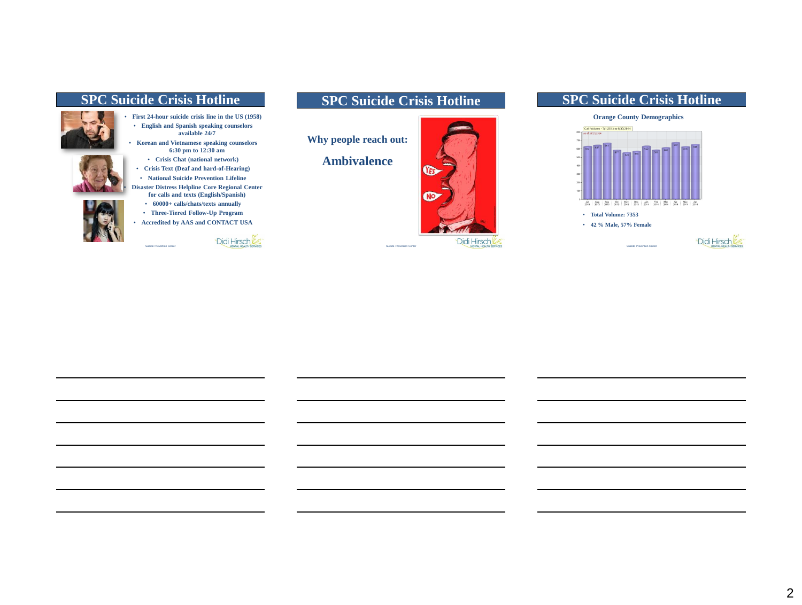### **SPC Suicide Crisis Hotline**





• **Korean and Vietnamese speaking counselors 6:30 pm to 12:30 am**

• **Crisis Chat (national network)** • **Crisis Text (Deaf and hard-of-Hearing)** • **National Suicide Prevention Lifeline** • **Disaster Distress Helpline Core Regional Center for calls and texts (English/Spanish)**

• **60000+ calls/chats/texts annually**

• **Three-Tiered Follow-Up Program**

• **Accredited by AAS and CONTACT USA**



**Why people reach out:**

**Ambivalence**



### **SPC Suicide Crisis Hotline**



Suicide Prevention Center

Suicide Prevention Center



# **Orange County Demographics**



2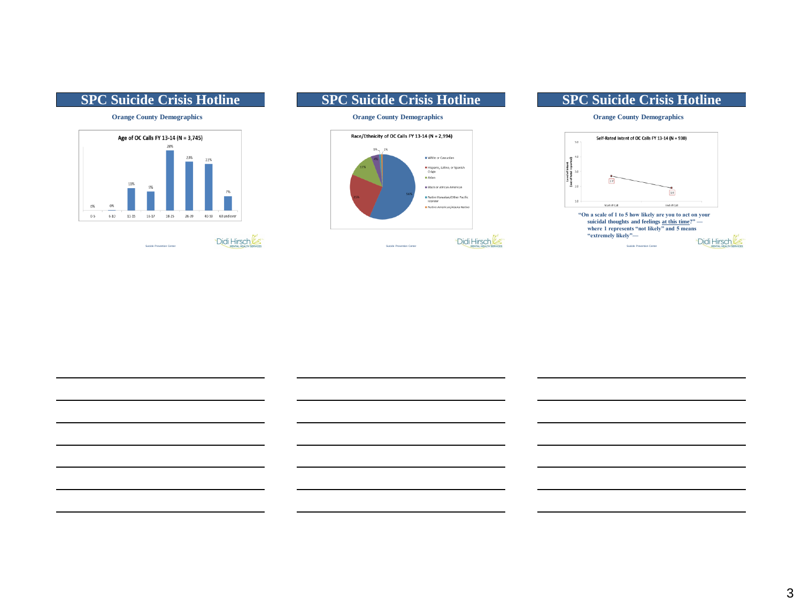

#### **SPC Suicide Crisis Hotline**

#### **Orange County Demographics**



#### **SPC Suicide Crisis Hotline**

**Orange County Demographics**

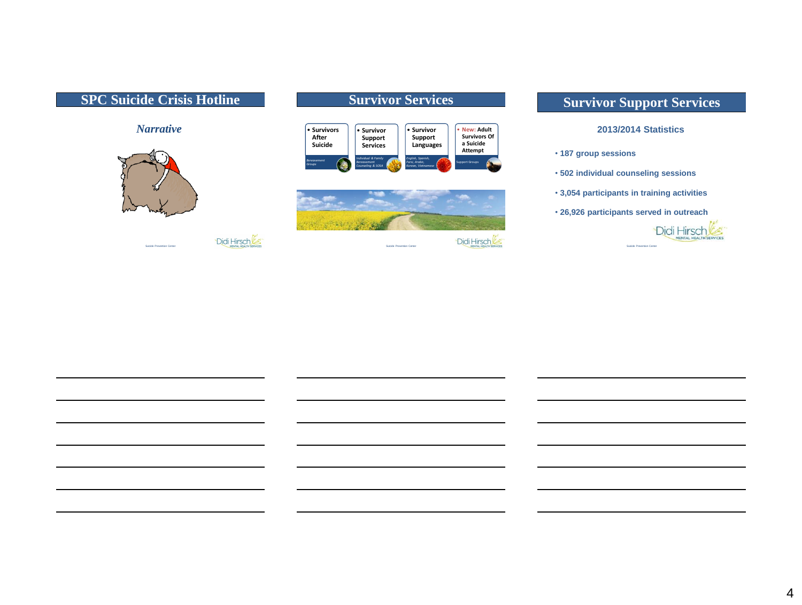#### **SPC Suicide Crisis Hotline** *Narrative* **Survivor Services** • **Survivors After Suicide** *Bereavement Groups* • **Survivor Support Services** *Individual & Family Bereavement Counseling & SOSA* • **Survivor Support Languages** *English, Spanish, Farsi, Arabic, Korean, Vietnamese* • **New: Adult Survivors Of a Suicide Attempt** Support Groups • **187 group sessions**



Didi Hirsch

# **Survivor Support Services**

#### **2013/2014 Statistics**

- **502 individual counseling sessions**
- **3,054 participants in training activities**
- **26,926 participants served in outreach**



Didi Hirsch Suicide Prevention Center

Suicide Prevention Center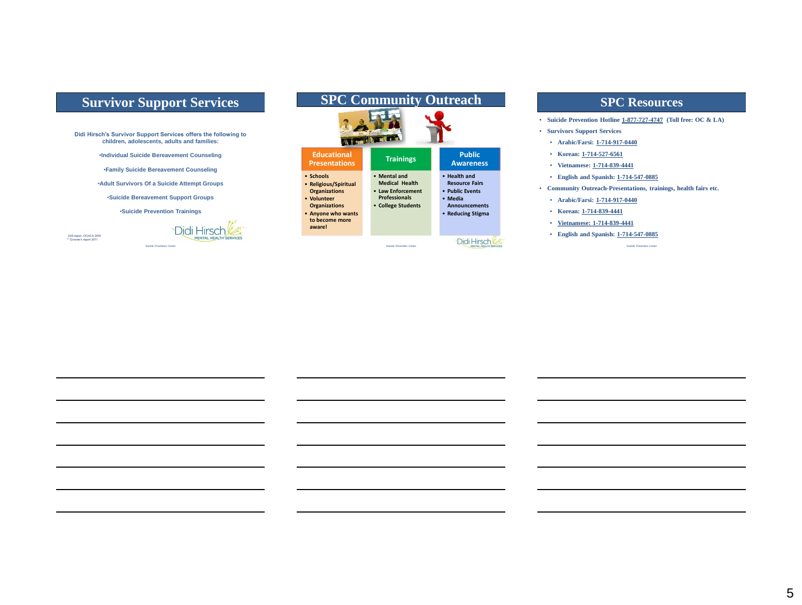# **Survivor Support Services**

**Didi Hirsch's Survivor Support Services offers the following to children, adolescents, adults and families:**

•**Individual Suicide Bereavement Counseling**

•**Family Suicide Bereavement Counseling**

•**Adult Survivors Of a Suicide Attempt Groups**

•**Suicide Bereavement Support Groups**

•**Suicide Prevention Trainings**

SIIS report, OCHCA 2009<br>\*\* Coroner's report 2011

Didi Hirsch Suicide Prevention Center

| <b>SPC Community Outreach</b>                                                                                                                       |                                                                                                          |                                                                                                                  |
|-----------------------------------------------------------------------------------------------------------------------------------------------------|----------------------------------------------------------------------------------------------------------|------------------------------------------------------------------------------------------------------------------|
| <b>Educational</b><br><b>Presentations</b>                                                                                                          | <b>Trainings</b>                                                                                         | <b>Public</b><br><b>Awareness</b>                                                                                |
| · Schools<br>• Religious/Spiritual<br><b>Organizations</b><br>• Volunteer<br><b>Organizations</b><br>• Anyone who wants<br>to become more<br>aware! | • Mental and<br><b>Medical Health</b><br>• Law Enforcement<br><b>Professionals</b><br>• College Students | • Health and<br><b>Resource Fairs</b><br>• Public Events<br>• Media<br><b>Announcements</b><br>• Reducing Stigma |
|                                                                                                                                                     | <b>Ruinida Provention Center</b>                                                                         |                                                                                                                  |

#### **SPC Resources**

- **Suicide Prevention Hotline 1-877-727-4747 (Toll free: OC & LA)**
- **Survivors Support Services** 
	- **Arabic/Farsi: 1-714-917-0440**
	- **Korean: 1-714-527-6561**
	- **Vietnamese: 1-714-839-4441**
	- **English and Spanish: 1-714-547-0885**
- **Community Outreach-Presentations, trainings, health fairs etc.**
	- **Arabic/Farsi: 1-714-917-0440**
	- **Korean: 1-714-839-4441**
	- **Vietnamese: 1-714-839-4441**
	- **English and Spanish: 1-714-547-0885**

Suicide Prev